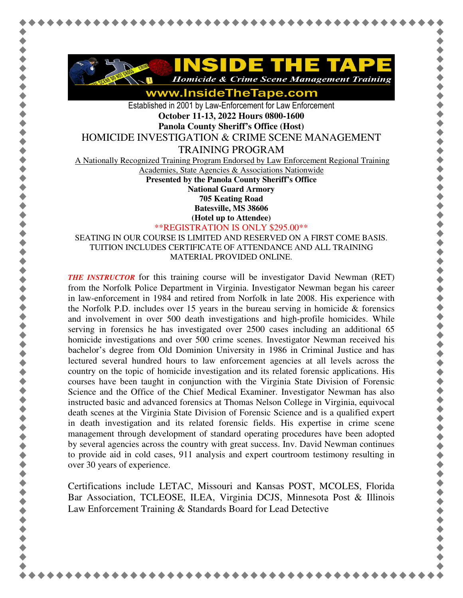

www.InsideTheTape.com

Established in 2001 by Law-Enforcement for Law Enforcement **October 11-13, 2022 Hours 0800-1600 Panola County Sheriff's Office (Host)**  HOMICIDE INVESTIGATION & CRIME SCENE MANAGEMENT

TRAINING PROGRAM

A Nationally Recognized Training Program Endorsed by Law Enforcement Regional Training

Academies, State Agencies & Associations Nationwide

**Presented by the Panola County Sheriff's Office National Guard Armory** 

**705 Keating Road** 

**Batesville, MS 38606 (Hotel up to Attendee)**

\*\*REGISTRATION IS ONLY \$295.00\*\*

SEATING IN OUR COURSE IS LIMITED AND RESERVED ON A FIRST COME BASIS. TUITION INCLUDES CERTIFICATE OF ATTENDANCE AND ALL TRAINING MATERIAL PROVIDED ONLINE.

*THE INSTRUCTOR* for this training course will be investigator David Newman (RET) from the Norfolk Police Department in Virginia. Investigator Newman began his career in law-enforcement in 1984 and retired from Norfolk in late 2008. His experience with the Norfolk P.D. includes over 15 years in the bureau serving in homicide  $\&$  forensics and involvement in over 500 death investigations and high-profile homicides. While serving in forensics he has investigated over 2500 cases including an additional 65 homicide investigations and over 500 crime scenes. Investigator Newman received his bachelor's degree from Old Dominion University in 1986 in Criminal Justice and has lectured several hundred hours to law enforcement agencies at all levels across the country on the topic of homicide investigation and its related forensic applications. His courses have been taught in conjunction with the Virginia State Division of Forensic Science and the Office of the Chief Medical Examiner. Investigator Newman has also instructed basic and advanced forensics at Thomas Nelson College in Virginia, equivocal death scenes at the Virginia State Division of Forensic Science and is a qualified expert in death investigation and its related forensic fields. His expertise in crime scene management through development of standard operating procedures have been adopted by several agencies across the country with great success. Inv. David Newman continues to provide aid in cold cases, 911 analysis and expert courtroom testimony resulting in over 30 years of experience.

Certifications include LETAC, Missouri and Kansas POST, MCOLES, Florida Bar Association, TCLEOSE, ILEA, Virginia DCJS, Minnesota Post & Illinois Law Enforcement Training & Standards Board for Lead Detective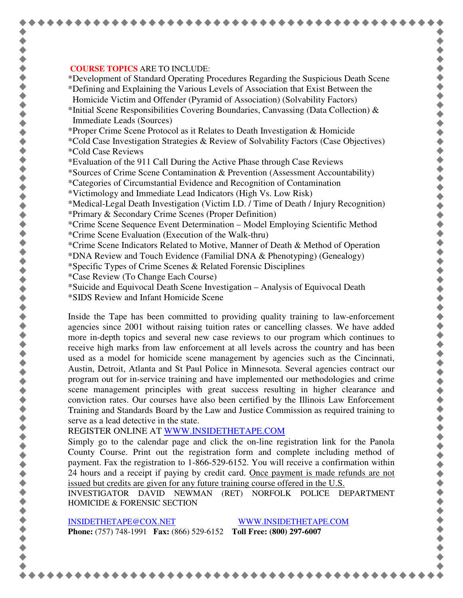## **COURSE TOPICS** ARE TO INCLUDE:

\*Development of Standard Operating Procedures Regarding the Suspicious Death Scene

\*Defining and Explaining the Various Levels of Association that Exist Between the Homicide Victim and Offender (Pyramid of Association) (Solvability Factors)

\*Initial Scene Responsibilities Covering Boundaries, Canvassing (Data Collection) & Immediate Leads (Sources)

\*Proper Crime Scene Protocol as it Relates to Death Investigation & Homicide

\*Cold Case Investigation Strategies & Review of Solvability Factors (Case Objectives) \*Cold Case Reviews

\*Evaluation of the 911 Call During the Active Phase through Case Reviews

\*Sources of Crime Scene Contamination & Prevention (Assessment Accountability)

\*Categories of Circumstantial Evidence and Recognition of Contamination

\*Victimology and Immediate Lead Indicators (High Vs. Low Risk)

\*Medical-Legal Death Investigation (Victim I.D. / Time of Death / Injury Recognition) \*Primary & Secondary Crime Scenes (Proper Definition)

\*Crime Scene Sequence Event Determination – Model Employing Scientific Method \*Crime Scene Evaluation (Execution of the Walk-thru)

\*Crime Scene Indicators Related to Motive, Manner of Death & Method of Operation

\*DNA Review and Touch Evidence (Familial DNA & Phenotyping) (Genealogy)

\*Specific Types of Crime Scenes & Related Forensic Disciplines

\*Case Review (To Change Each Course)

\*Suicide and Equivocal Death Scene Investigation – Analysis of Equivocal Death

\*SIDS Review and Infant Homicide Scene

Inside the Tape has been committed to providing quality training to law-enforcement agencies since 2001 without raising tuition rates or cancelling classes. We have added more in-depth topics and several new case reviews to our program which continues to receive high marks from law enforcement at all levels across the country and has been used as a model for homicide scene management by agencies such as the Cincinnati, Austin, Detroit, Atlanta and St Paul Police in Minnesota. Several agencies contract our program out for in-service training and have implemented our methodologies and crime scene management principles with great success resulting in higher clearance and conviction rates. Our courses have also been certified by the Illinois Law Enforcement Training and Standards Board by the Law and Justice Commission as required training to serve as a lead detective in the state.

REGISTER ONLINE AT WWW.INSIDETHETAPE.COM

Simply go to the calendar page and click the on-line registration link for the Panola County Course. Print out the registration form and complete including method of payment. Fax the registration to 1-866-529-6152. You will receive a confirmation within 24 hours and a receipt if paying by credit card. Once payment is made refunds are not issued but credits are given for any future training course offered in the U.S.

INVESTIGATOR DAVID NEWMAN (RET) NORFOLK POLICE DEPARTMENT HOMICIDE & FORENSIC SECTION

INSIDETHETAPE@COX.NET WWW.INSIDETHETAPE.COM **Phone:** (757) 748-1991 **Fax:** (866) 529-6152 **Toll Free: (800) 297-6007**